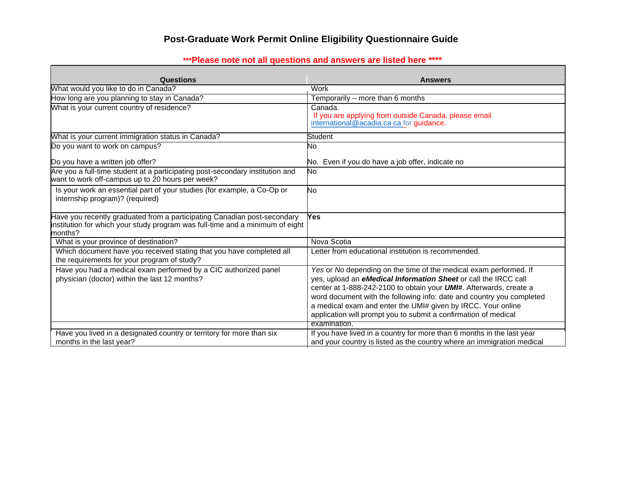## **Post-Graduate Work Permit Online Eligibility Questionnaire Guide**

## **\*\*\*Please note not all questions and answers are listed here \*\*\*\***

| Questions                                                                                                                                                            | <b>Answers</b>                                                                                                                                                                                                                                                                                                                                                                                                                                 |
|----------------------------------------------------------------------------------------------------------------------------------------------------------------------|------------------------------------------------------------------------------------------------------------------------------------------------------------------------------------------------------------------------------------------------------------------------------------------------------------------------------------------------------------------------------------------------------------------------------------------------|
| What would you like to do in Canada?                                                                                                                                 | Work                                                                                                                                                                                                                                                                                                                                                                                                                                           |
| How long are you planning to stay in Canada?                                                                                                                         | Temporarily - more than 6 months                                                                                                                                                                                                                                                                                                                                                                                                               |
| What is your current country of residence?                                                                                                                           | Canada.<br>If you are applying from outside Canada, please email<br>international@acadia.ca ca for guidance.                                                                                                                                                                                                                                                                                                                                   |
| What is your current immigration status in Canada?                                                                                                                   | Student                                                                                                                                                                                                                                                                                                                                                                                                                                        |
| Do you want to work on campus?                                                                                                                                       | No.                                                                                                                                                                                                                                                                                                                                                                                                                                            |
| Do you have a written job offer?                                                                                                                                     | No. Even if you do have a job offer, indicate no                                                                                                                                                                                                                                                                                                                                                                                               |
| Are you a full-time student at a participating post-secondary institution and<br>want to work off-campus up to 20 hours per week?                                    | No                                                                                                                                                                                                                                                                                                                                                                                                                                             |
| Is your work an essential part of your studies (for example, a Co-Op or<br>internship program)? (required)                                                           | No                                                                                                                                                                                                                                                                                                                                                                                                                                             |
| Have you recently graduated from a participating Canadian post-secondary<br>institution for which your study program was full-time and a minimum of eight<br>months? | Yes                                                                                                                                                                                                                                                                                                                                                                                                                                            |
| What is your province of destination?                                                                                                                                | Nova Scotia                                                                                                                                                                                                                                                                                                                                                                                                                                    |
| Which document have you received stating that you have completed all<br>the requirements for your program of study?                                                  | Letter from educational institution is recommended.                                                                                                                                                                                                                                                                                                                                                                                            |
| Have you had a medical exam performed by a CIC authorized panel<br>physician (doctor) within the last 12 months?                                                     | Yes or No depending on the time of the medical exam performed. If<br>yes, upload an eMedical Information Sheet or call the IRCC call<br>center at 1-888-242-2100 to obtain your <b>UMI#</b> . Afterwards, create a<br>word document with the following info: date and country you completed<br>a medical exam and enter the UMI# given by IRCC. Your online<br>application will prompt you to submit a confirmation of medical<br>examination. |
| Have you lived in a designated country or territory for more than six                                                                                                | If you have lived in a country for more than 6 months in the last year                                                                                                                                                                                                                                                                                                                                                                         |
| months in the last year?                                                                                                                                             | and your country is listed as the country where an immigration medical                                                                                                                                                                                                                                                                                                                                                                         |